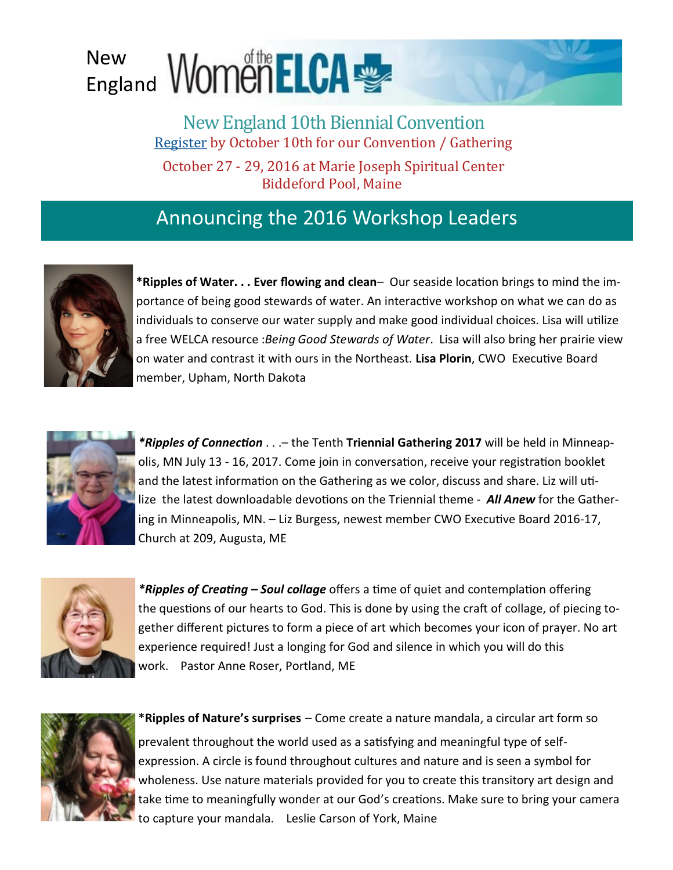## New England

New England 10th Biennial Convention [Register](http://www.newelca.org/tenth-biennial-convention.html) by October 10th for our Convention / Gathering

October 27 - 29, 2016 at Marie Joseph Spiritual Center Biddeford Pool, Maine

## Announcing the 2016 Workshop Leaders



**\*Ripples of Water. . . Ever flowing and clean**– Our seaside location brings to mind the importance of being good stewards of water. An interactive workshop on what we can do as individuals to conserve our water supply and make good individual choices. Lisa will utilize a free WELCA resource :*Being Good Stewards of Water*. Lisa will also bring her prairie view on water and contrast it with ours in the Northeast. **Lisa Plorin**, CWO Executive Board member, Upham, North Dakota



*\*Ripples of Connection* . . .– the Tenth **Triennial Gathering 2017** will be held in Minneapolis, MN July 13 - 16, 2017. Come join in conversation, receive your registration booklet and the latest information on the Gathering as we color, discuss and share. Liz will utilize the latest downloadable devotions on the Triennial theme - *All Anew* for the Gathering in Minneapolis, MN. – Liz Burgess, newest member CWO Executive Board 2016-17, Church at 209, Augusta, ME



*\*Ripples of Creating – Soul collage* offers a time of quiet and contemplation offering the questions of our hearts to God. This is done by using the craft of collage, of piecing together different pictures to form a piece of art which becomes your icon of prayer. No art experience required! Just a longing for God and silence in which you will do this work. Pastor Anne Roser, Portland, ME



**\*Ripples of Nature's surprises** – Come create a nature mandala, a circular art form so prevalent throughout the world used as a satisfying and meaningful type of selfexpression. A circle is found throughout cultures and nature and is seen a symbol for wholeness. Use nature materials provided for you to create this transitory art design and take time to meaningfully wonder at our God's creations. Make sure to bring your camera to capture your mandala. Leslie Carson of York, Maine